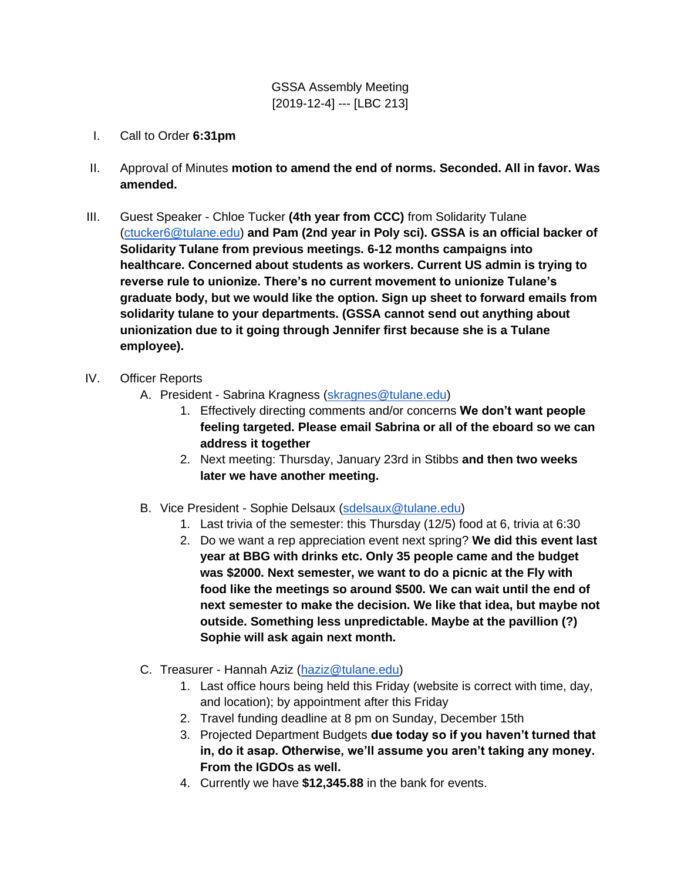GSSA Assembly Meeting [2019-12-4] --- [LBC 213]

- I. Call to Order **6:31pm**
- II. Approval of Minutes **motion to amend the end of norms. Seconded. All in favor. Was amended.**
- III. Guest Speaker Chloe Tucker **(4th year from CCC)** from Solidarity Tulane [\(ctucker6@tulane.edu\)](mailto:ctucker6@tulane.edu) **and Pam (2nd year in Poly sci). GSSA is an official backer of Solidarity Tulane from previous meetings. 6-12 months campaigns into healthcare. Concerned about students as workers. Current US admin is trying to reverse rule to unionize. There's no current movement to unionize Tulane's graduate body, but we would like the option. Sign up sheet to forward emails from solidarity tulane to your departments. (GSSA cannot send out anything about unionization due to it going through Jennifer first because she is a Tulane employee).**
- IV. Officer Reports
	- A. President Sabrina Kragness [\(skragnes@tulane.edu\)](mailto:skragnes@tulane.edu)
		- 1. Effectively directing comments and/or concerns **We don't want people feeling targeted. Please email Sabrina or all of the eboard so we can address it together**
		- 2. Next meeting: Thursday, January 23rd in Stibbs **and then two weeks later we have another meeting.**
	- B. Vice President Sophie Delsaux [\(sdelsaux@tulane.edu\)](mailto:sdelsaux@tulane.edu)
		- 1. Last trivia of the semester: this Thursday (12/5) food at 6, trivia at 6:30
		- 2. Do we want a rep appreciation event next spring? **We did this event last year at BBG with drinks etc. Only 35 people came and the budget was \$2000. Next semester, we want to do a picnic at the Fly with food like the meetings so around \$500. We can wait until the end of next semester to make the decision. We like that idea, but maybe not outside. Something less unpredictable. Maybe at the pavillion (?) Sophie will ask again next month.**
	- C. Treasurer Hannah Aziz [\(haziz@tulane.edu\)](mailto:haziz@tulane.edu)
		- 1. Last office hours being held this Friday (website is correct with time, day, and location); by appointment after this Friday
		- 2. Travel funding deadline at 8 pm on Sunday, December 15th
		- 3. Projected Department Budgets **due today so if you haven't turned that in, do it asap. Otherwise, we'll assume you aren't taking any money. From the IGDOs as well.**
		- 4. Currently we have **\$12,345.88** in the bank for events.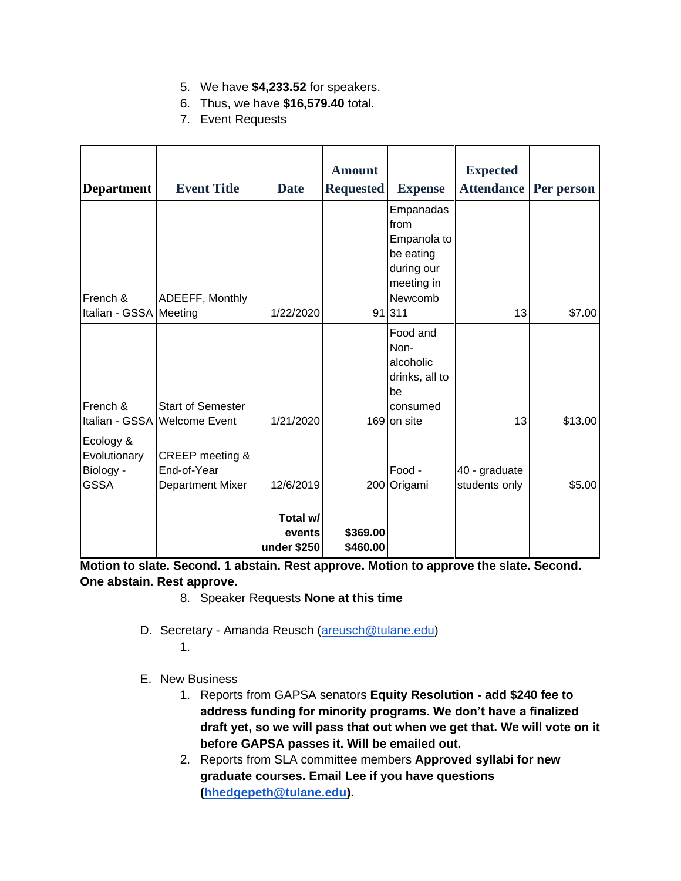- 5. We have **\$4,233.52** for speakers.
- 6. Thus, we have **\$16,579.40** total.
- 7. Event Requests

|                        |                              |             | <b>Amount</b>    |                | <b>Expected</b>   |            |
|------------------------|------------------------------|-------------|------------------|----------------|-------------------|------------|
| <b>Department</b>      | <b>Event Title</b>           | <b>Date</b> | <b>Requested</b> | <b>Expense</b> | <b>Attendance</b> | Per person |
|                        |                              |             |                  | Empanadas      |                   |            |
|                        |                              |             |                  | from           |                   |            |
|                        |                              |             |                  | Empanola to    |                   |            |
|                        |                              |             |                  | be eating      |                   |            |
|                        |                              |             |                  | during our     |                   |            |
|                        |                              |             |                  | meeting in     |                   |            |
| French &               | ADEEFF, Monthly              |             |                  | Newcomb        |                   |            |
| Italian - GSSA Meeting |                              | 1/22/2020   |                  | 91 311         | 13                | \$7.00     |
|                        |                              |             |                  | Food and       |                   |            |
|                        |                              |             |                  | Non-           |                   |            |
|                        |                              |             |                  | alcoholic      |                   |            |
|                        |                              |             |                  | drinks, all to |                   |            |
|                        |                              |             |                  | be             |                   |            |
| French &               | <b>Start of Semester</b>     |             |                  | consumed       |                   |            |
|                        | Italian - GSSA Welcome Event | 1/21/2020   |                  | 169 on site    | 13                | \$13.00    |
| Ecology &              |                              |             |                  |                |                   |            |
| Evolutionary           | CREEP meeting &              |             |                  |                |                   |            |
| Biology -              | End-of-Year                  |             |                  | Food -         | 40 - graduate     |            |
| <b>GSSA</b>            | <b>Department Mixer</b>      | 12/6/2019   |                  | 200 Origami    | students only     | \$5.00     |
|                        |                              |             |                  |                |                   |            |
|                        |                              | Total w/    |                  |                |                   |            |
|                        |                              | events      | \$369.00         |                |                   |            |
|                        |                              | under \$250 | \$460.00         |                |                   |            |

**Motion to slate. Second. 1 abstain. Rest approve. Motion to approve the slate. Second. One abstain. Rest approve.** 

- 8. Speaker Requests **None at this time**
- D. Secretary Amanda Reusch [\(areusch@tulane.edu\)](mailto:areusch@tulane.edu) 1.
- E. New Business
	- 1. Reports from GAPSA senators **Equity Resolution - add \$240 fee to address funding for minority programs. We don't have a finalized draft yet, so we will pass that out when we get that. We will vote on it before GAPSA passes it. Will be emailed out.**
	- 2. Reports from SLA committee members **Approved syllabi for new graduate courses. Email Lee if you have questions [\(hhedgepeth@tulane.edu\)](mailto:hhedgepeth@tulane.edu).**